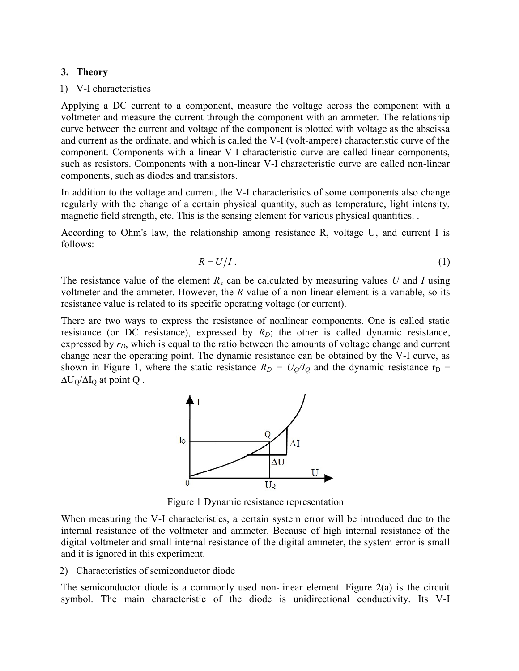## 3. Theory

## 1) V-I characteristics

Applying a DC current to a component, measure the voltage across the component with a voltmeter and measure the current through the component with an ammeter. The relationship curve between the current and voltage of the component is plotted with voltage as the abscissa and current as the ordinate, and which is called the V-I (volt-ampere) characteristic curve of the component. Components with a linear V-I characteristic curve are called linear components, such as resistors. Components with a non-linear V-I characteristic curve are called non-linear components, such as diodes and transistors.

In addition to the voltage and current, the V-I characteristics of some components also change regularly with the change of a certain physical quantity, such as temperature, light intensity, magnetic field strength, etc. This is the sensing element for various physical quantities. .

According to Ohm's law, the relationship among resistance R, voltage U, and current I is follows:

$$
R = U/I.
$$
 (1)

The resistance value of the element  $R_x$  can be calculated by measuring values U and I using voltmeter and the ammeter. However, the  $R$  value of a non-linear element is a variable, so its resistance value is related to its specific operating voltage (or current).

There are two ways to express the resistance of nonlinear components. One is called static resistance (or DC resistance), expressed by  $R_D$ ; the other is called dynamic resistance, expressed by  $r_D$ , which is equal to the ratio between the amounts of voltage change and current change near the operating point. The dynamic resistance can be obtained by the V-I curve, as shown in Figure 1, where the static resistance  $R_D = U_O/I_O$  and the dynamic resistance  $r_D$  =  $\Delta U_O / \Delta I_O$  at point Q.



Figure 1 Dynamic resistance representation

When measuring the V-I characteristics, a certain system error will be introduced due to the internal resistance of the voltmeter and ammeter. Because of high internal resistance of the digital voltmeter and small internal resistance of the digital ammeter, the system error is small and it is ignored in this experiment.

## 2) Characteristics of semiconductor diode

The semiconductor diode is a commonly used non-linear element. Figure 2(a) is the circuit symbol. The main characteristic of the diode is unidirectional conductivity. Its V-I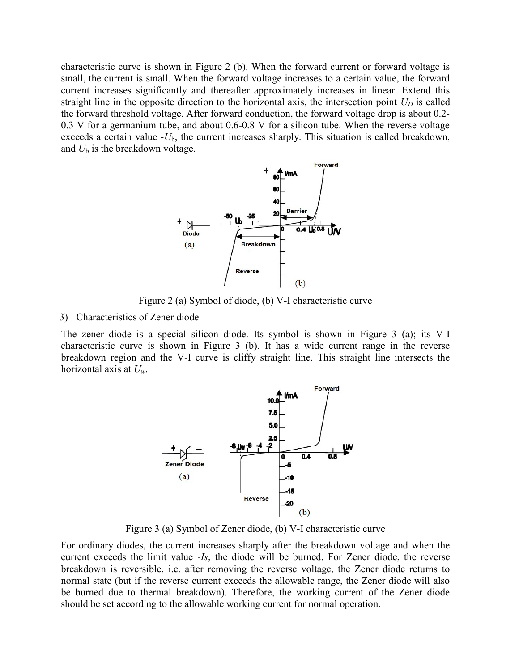characteristic curve is shown in Figure 2 (b). When the forward current or forward voltage is small, the current is small. When the forward voltage increases to a certain value, the forward current increases significantly and thereafter approximately increases in linear. Extend this straight line in the opposite direction to the horizontal axis, the intersection point  $U_D$  is called the forward threshold voltage. After forward conduction, the forward voltage drop is about 0.2- 0.3 V for a germanium tube, and about 0.6-0.8 V for a silicon tube. When the reverse voltage exceeds a certain value  $-U<sub>b</sub>$ , the current increases sharply. This situation is called breakdown, and  $U<sub>b</sub>$  is the breakdown voltage.



Figure 2 (a) Symbol of diode, (b) V-I characteristic curve

3) Characteristics of Zener diode

The zener diode is a special silicon diode. Its symbol is shown in Figure 3 (a); its V-I characteristic curve is shown in Figure 3 (b). It has a wide current range in the reverse breakdown region and the V-I curve is cliffy straight line. This straight line intersects the horizontal axis at  $U_w$ .



Figure 3 (a) Symbol of Zener diode, (b) V-I characteristic curve

For ordinary diodes, the current increases sharply after the breakdown voltage and when the current exceeds the limit value -Is, the diode will be burned. For Zener diode, the reverse breakdown is reversible, i.e. after removing the reverse voltage, the Zener diode returns to normal state (but if the reverse current exceeds the allowable range, the Zener diode will also be burned due to thermal breakdown). Therefore, the working current of the Zener diode should be set according to the allowable working current for normal operation.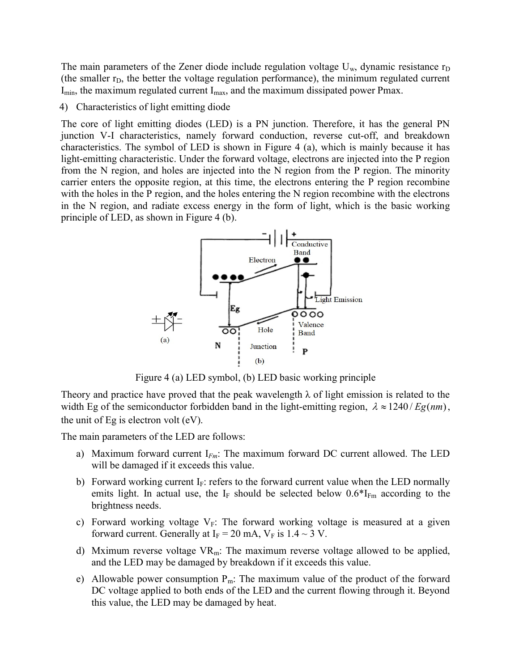The main parameters of the Zener diode include regulation voltage  $U_w$ , dynamic resistance  $r_D$ (the smaller  $r_D$ , the better the voltage regulation performance), the minimum regulated current  $I_{min}$ , the maximum regulated current  $I_{max}$ , and the maximum dissipated power Pmax.

## 4) Characteristics of light emitting diode

The core of light emitting diodes (LED) is a PN junction. Therefore, it has the general PN junction V-I characteristics, namely forward conduction, reverse cut-off, and breakdown characteristics. The symbol of LED is shown in Figure 4 (a), which is mainly because it has light-emitting characteristic. Under the forward voltage, electrons are injected into the P region from the N region, and holes are injected into the N region from the P region. The minority carrier enters the opposite region, at this time, the electrons entering the P region recombine with the holes in the P region, and the holes entering the N region recombine with the electrons in the N region, and radiate excess energy in the form of light, which is the basic working principle of LED, as shown in Figure 4 (b).



Figure 4 (a) LED symbol, (b) LED basic working principle

Theory and practice have proved that the peak wavelength  $\lambda$  of light emission is related to the width Eg of the semiconductor forbidden band in the light-emitting region,  $\lambda \approx 1240$  / Eg(nm), the unit of Eg is electron volt (eV).

The main parameters of the LED are follows:

- a) Maximum forward current  $I_{Fm}$ : The maximum forward DC current allowed. The LED will be damaged if it exceeds this value.
- b) Forward working current  $I_F$ : refers to the forward current value when the LED normally emits light. In actual use, the I<sub>F</sub> should be selected below  $0.6*$ I<sub>Fm</sub> according to the brightness needs.
- c) Forward working voltage  $V_F$ : The forward working voltage is measured at a given forward current. Generally at  $I_F = 20$  mA,  $V_F$  is  $1.4 \sim 3$  V.
- d) Mximum reverse voltage  $VR_m$ : The maximum reverse voltage allowed to be applied, and the LED may be damaged by breakdown if it exceeds this value.
- e) Allowable power consumption  $P_m$ : The maximum value of the product of the forward DC voltage applied to both ends of the LED and the current flowing through it. Beyond this value, the LED may be damaged by heat.